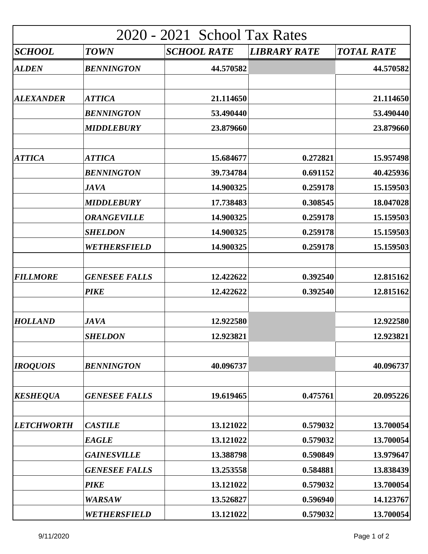| 2020 - 2021 School Tax Rates |                      |                    |                     |                   |  |  |
|------------------------------|----------------------|--------------------|---------------------|-------------------|--|--|
| SCHOOL                       | <b>TOWN</b>          | <b>SCHOOL RATE</b> | <b>LIBRARY RATE</b> | <b>TOTAL RATE</b> |  |  |
| <b>ALDEN</b>                 | <b>BENNINGTON</b>    | 44.570582          |                     | 44.570582         |  |  |
| <b>ALEXANDER</b>             | <b>ATTICA</b>        | 21.114650          |                     | 21.114650         |  |  |
|                              | <b>BENNINGTON</b>    | 53.490440          |                     | 53.490440         |  |  |
|                              | <b>MIDDLEBURY</b>    | 23.879660          |                     | 23.879660         |  |  |
| <b>ATTICA</b>                | <b>ATTICA</b>        | 15.684677          | 0.272821            | 15.957498         |  |  |
|                              | <b>BENNINGTON</b>    | 39.734784          | 0.691152            | 40.425936         |  |  |
|                              | <b>JAVA</b>          | 14.900325          | 0.259178            | 15.159503         |  |  |
|                              | <b>MIDDLEBURY</b>    | 17.738483          | 0.308545            | 18.047028         |  |  |
|                              | <b>ORANGEVILLE</b>   | 14.900325          | 0.259178            | 15.159503         |  |  |
|                              | <b>SHELDON</b>       | 14.900325          | 0.259178            | 15.159503         |  |  |
|                              | WETHERSFIELD         | 14.900325          | 0.259178            | 15.159503         |  |  |
| <b>FILLMORE</b>              | <b>GENESEE FALLS</b> | 12.422622          | 0.392540            | 12.815162         |  |  |
|                              | <b>PIKE</b>          | 12.422622          | 0.392540            | 12.815162         |  |  |
| <b>HOLLAND</b>               | <b>JAVA</b>          | 12.922580          |                     | 12.922580         |  |  |
|                              | <b>SHELDON</b>       | 12.923821          |                     | 12.923821         |  |  |
| <b>IROQUOIS</b>              | <b>BENNINGTON</b>    | 40.096737          |                     | 40.096737         |  |  |
| <b>KESHEQUA</b>              | <b>GENESEE FALLS</b> | 19.619465          | 0.475761            | 20.095226         |  |  |
| <b>LETCHWORTH</b>            | <b>CASTILE</b>       | 13.121022          | 0.579032            | 13.700054         |  |  |
|                              | <b>EAGLE</b>         | 13.121022          | 0.579032            | 13.700054         |  |  |
|                              | <b>GAINESVILLE</b>   | 13.388798          | 0.590849            | 13.979647         |  |  |
|                              | <b>GENESEE FALLS</b> | 13.253558          | 0.584881            | 13.838439         |  |  |
|                              | <b>PIKE</b>          | 13.121022          | 0.579032            | 13.700054         |  |  |
|                              | <b>WARSAW</b>        | 13.526827          | 0.596940            | 14.123767         |  |  |
|                              | WETHERSFIELD         | 13.121022          | 0.579032            | 13.700054         |  |  |